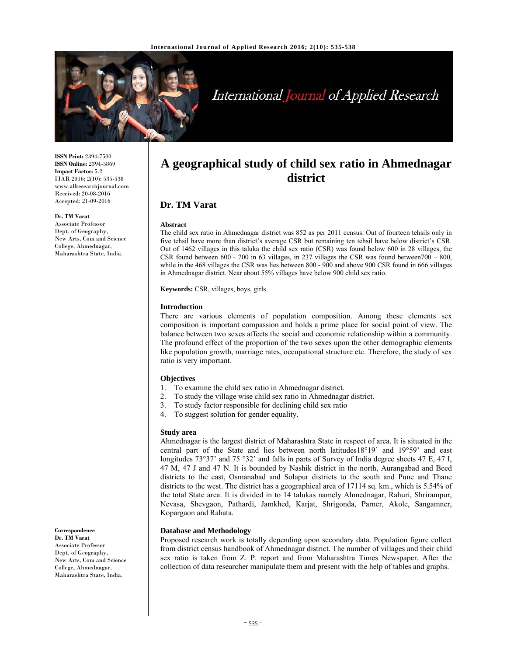

# International Journal of Applied Research

**ISSN Print:** 2394-7500 **ISSN Online:** 2394-5869 **Impact Factor:** 5.2 IJAR 2016; 2(10): 535-538 www.allresearchjournal.com Received: 20-08-2016 Accepted: 21-09-2016

#### **Dr. TM Varat**

Associate Professor Dept. of Geography, New Arts, Com and Science College, Ahmednagar, Maharashtra State, India*.*

# **A geographical study of child sex ratio in Ahmednagar district**

# **Dr. TM Varat**

#### **Abstract**

The child sex ratio in Ahmednagar district was 852 as per 2011 census. Out of fourteen tehsils only in five tehsil have more than district's average CSR but remaining ten tehsil have below district's CSR. Out of 1462 villages in this taluka the child sex ratio (CSR) was found below 600 in 28 villages, the CSR found between  $600 - 700$  in  $63$  villages, in 237 villages the CSR was found between  $700 - 800$ , while in the 468 villages the CSR was lies between 800 - 900 and above 900 CSR found in 666 villages in Ahmednagar district. Near about 55% villages have below 900 child sex ratio.

**Keywords:** CSR, villages, boys, girls

#### **Introduction**

There are various elements of population composition. Among these elements sex composition is important compassion and holds a prime place for social point of view. The balance between two sexes affects the social and economic relationship within a community. The profound effect of the proportion of the two sexes upon the other demographic elements like population growth, marriage rates, occupational structure etc. Therefore, the study of sex ratio is very important.

#### **Objectives**

- 1. To examine the child sex ratio in Ahmednagar district.
- 2. To study the village wise child sex ratio in Ahmednagar district.
- 3. To study factor responsible for declining child sex ratio
- 4. To suggest solution for gender equality.

#### **Study area**

Ahmednagar is the largest district of Maharashtra State in respect of area. It is situated in the central part of the State and lies between north latitudes18°19' and 19°59' and east longitudes 73°37' and 75 °32' and falls in parts of Survey of India degree sheets 47 E, 47 I, 47 M, 47 J and 47 N. It is bounded by Nashik district in the north, Aurangabad and Beed districts to the east, Osmanabad and Solapur districts to the south and Pune and Thane districts to the west. The district has a geographical area of 17114 sq. km., which is 5.54% of the total State area. It is divided in to 14 talukas namely Ahmednagar, Rahuri, Shrirampur, Nevasa, Shevgaon, Pathardi, Jamkhed, Karjat, Shrigonda, Parner, Akole, Sangamner, Kopargaon and Rahata.

#### **Database and Methodology**

Proposed research work is totally depending upon secondary data. Population figure collect from district census handbook of Ahmednagar district. The number of villages and their child sex ratio is taken from Z. P. report and from Maharashtra Times Newspaper. After the collection of data researcher manipulate them and present with the help of tables and graphs.

#### **Correspondence Dr. TM Varat**

Associate Professor Dept. of Geography, New Arts, Com and Science College, Ahmednagar, Maharashtra State, India*.*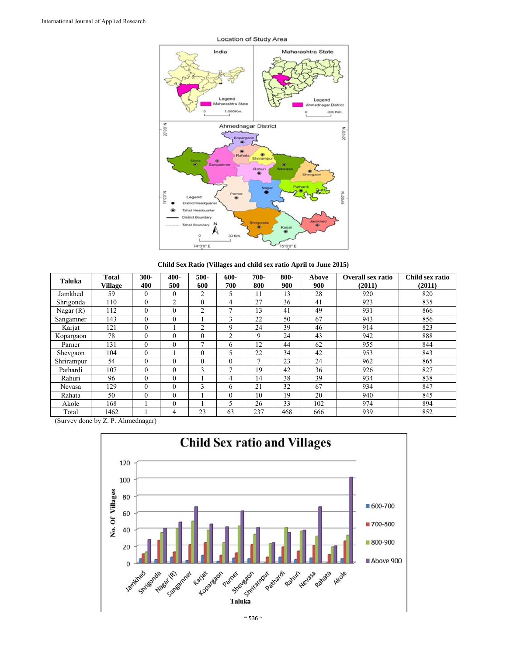

**Child Sex Ratio (Villages and child sex ratio April to June 2015)** 

| <b>Taluka</b> | <b>Total</b><br><b>Village</b> | 300-<br>400 | 400-<br>500 | 500-<br>600    | 600-<br>700    | 700-<br>800    | 800-<br>900 | Above<br>900 | <b>Overall sex ratio</b><br>(2011) | Child sex ratio<br>(2011) |
|---------------|--------------------------------|-------------|-------------|----------------|----------------|----------------|-------------|--------------|------------------------------------|---------------------------|
| Jamkhed       | 59                             | $\theta$    | $\theta$    | 2              | 5              | 11             | 13          | 28           | 920                                | 820                       |
| Shrigonda     | 110                            | $\Omega$    | 2           | $\theta$       | 4              | 27             | 36          | 41           | 923                                | 835                       |
| Nagar $(R)$   | 112                            | $\Omega$    | $\theta$    | $\overline{2}$ | $\mathbf{r}$   | 13             | 41          | 49           | 931                                | 866                       |
| Sangamner     | 143                            | $\Omega$    | $\theta$    |                | 3              | 22             | 50          | 67           | 943                                | 856                       |
| Karjat        | 121                            | $\Omega$    |             | $\overline{c}$ | 9              | 24             | 39          | 46           | 914                                | 823                       |
| Kopargaon     | 78                             | $\Omega$    | $\theta$    | $\theta$       | $\overline{2}$ | 9              | 24          | 43           | 942                                | 888                       |
| Parner        | 131                            | $\Omega$    | $\theta$    | 7              | 6              | 12             | 44          | 62           | 955                                | 844                       |
| Shevgaon      | 104                            | $\Omega$    |             | $\theta$       | 5              | 22             | 34          | 42           | 953                                | 843                       |
| Shrirampur    | 54                             | $\Omega$    | $\theta$    | $\theta$       | $\theta$       | $\overline{ }$ | 23          | 24           | 962                                | 865                       |
| Pathardi      | 107                            | $\Omega$    | 0           | 3              | $\mathbf{r}$   | 19             | 42          | 36           | 926                                | 827                       |
| Rahuri        | 96                             | $\Omega$    | $\theta$    |                | 4              | 14             | 38          | 39           | 934                                | 838                       |
| Nevasa        | 129                            | $\Omega$    | $\theta$    | 3              | 6              | 21             | 32          | 67           | 934                                | 847                       |
| Rahata        | 50                             | $\Omega$    | $\Omega$    |                | $\Omega$       | 10             | 19          | 20           | 940                                | 845                       |
| Akole         | 168                            |             | $\theta$    |                | 5              | 26             | 33          | 102          | 974                                | 894                       |
| Total         | 1462                           |             | 4           | 23             | 63             | 237            | 468         | 666          | 939                                | 852                       |

(Survey done by Z. P. Ahmednagar)



 $\sim$  536  $\sim$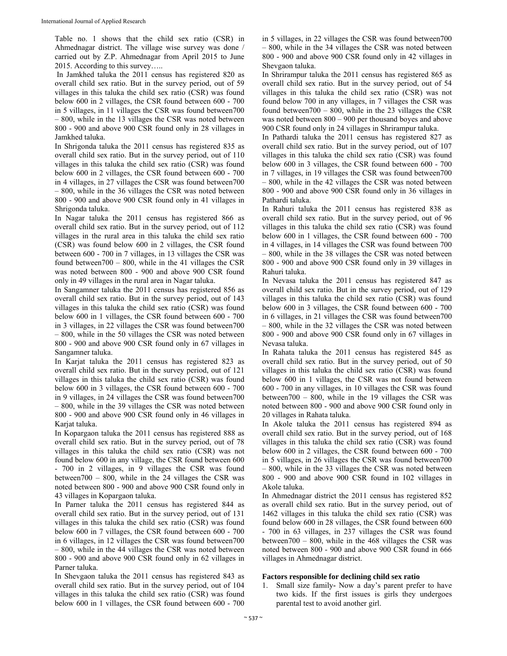Table no. 1 shows that the child sex ratio (CSR) in Ahmednagar district. The village wise survey was done / carried out by Z.P. Ahmednagar from April 2015 to June 2015. According to this survey…..

 In Jamkhed taluka the 2011 census has registered 820 as overall child sex ratio. But in the survey period, out of 59 villages in this taluka the child sex ratio (CSR) was found below 600 in 2 villages, the CSR found between 600 - 700 in 5 villages, in 11 villages the CSR was found between700 – 800, while in the 13 villages the CSR was noted between 800 - 900 and above 900 CSR found only in 28 villages in Jamkhed taluka.

In Shrigonda taluka the 2011 census has registered 835 as overall child sex ratio. But in the survey period, out of 110 villages in this taluka the child sex ratio (CSR) was found below 600 in 2 villages, the CSR found between 600 - 700 in 4 villages, in 27 villages the CSR was found between700 – 800, while in the 36 villages the CSR was noted between 800 - 900 and above 900 CSR found only in 41 villages in Shrigonda taluka.

In Nagar taluka the 2011 census has registered 866 as overall child sex ratio. But in the survey period, out of 112 villages in the rural area in this taluka the child sex ratio (CSR) was found below 600 in 2 villages, the CSR found between 600 - 700 in 7 villages, in 13 villages the CSR was found between700 – 800, while in the 41 villages the CSR was noted between 800 - 900 and above 900 CSR found only in 49 villages in the rural area in Nagar taluka.

In Sangamner taluka the 2011 census has registered 856 as overall child sex ratio. But in the survey period, out of 143 villages in this taluka the child sex ratio (CSR) was found below 600 in 1 villages, the CSR found between 600 - 700 in 3 villages, in 22 villages the CSR was found between700 – 800, while in the 50 villages the CSR was noted between 800 - 900 and above 900 CSR found only in 67 villages in Sangamner taluka.

In Karjat taluka the 2011 census has registered 823 as overall child sex ratio. But in the survey period, out of 121 villages in this taluka the child sex ratio (CSR) was found below 600 in 3 villages, the CSR found between 600 - 700 in 9 villages, in 24 villages the CSR was found between700 – 800, while in the 39 villages the CSR was noted between 800 - 900 and above 900 CSR found only in 46 villages in Karjat taluka.

In Kopargaon taluka the 2011 census has registered 888 as overall child sex ratio. But in the survey period, out of 78 villages in this taluka the child sex ratio (CSR) was not found below 600 in any village, the CSR found between 600 - 700 in 2 villages, in 9 villages the CSR was found between700 – 800, while in the 24 villages the CSR was noted between 800 - 900 and above 900 CSR found only in 43 villages in Kopargaon taluka.

In Parner taluka the 2011 census has registered 844 as overall child sex ratio. But in the survey period, out of 131 villages in this taluka the child sex ratio (CSR) was found below 600 in 7 villages, the CSR found between 600 - 700 in 6 villages, in 12 villages the CSR was found between700 – 800, while in the 44 villages the CSR was noted between 800 - 900 and above 900 CSR found only in 62 villages in Parner taluka.

In Shevgaon taluka the 2011 census has registered 843 as overall child sex ratio. But in the survey period, out of 104 villages in this taluka the child sex ratio (CSR) was found below 600 in 1 villages, the CSR found between 600 - 700 in 5 villages, in 22 villages the CSR was found between700 – 800, while in the 34 villages the CSR was noted between 800 - 900 and above 900 CSR found only in 42 villages in Shevgaon taluka.

In Shrirampur taluka the 2011 census has registered 865 as overall child sex ratio. But in the survey period, out of 54 villages in this taluka the child sex ratio (CSR) was not found below 700 in any villages, in 7 villages the CSR was found between  $700 - 800$ , while in the 23 villages the CSR was noted between 800 – 900 per thousand boyes and above 900 CSR found only in 24 villages in Shrirampur taluka.

In Pathardi taluka the 2011 census has registered 827 as overall child sex ratio. But in the survey period, out of 107 villages in this taluka the child sex ratio (CSR) was found below 600 in 3 villages, the CSR found between 600 - 700 in 7 villages, in 19 villages the CSR was found between700 – 800, while in the 42 villages the CSR was noted between 800 - 900 and above 900 CSR found only in 36 villages in Pathardi taluka.

In Rahuri taluka the 2011 census has registered 838 as overall child sex ratio. But in the survey period, out of 96 villages in this taluka the child sex ratio (CSR) was found below 600 in 1 villages, the CSR found between 600 - 700 in 4 villages, in 14 villages the CSR was found between 700 – 800, while in the 38 villages the CSR was noted between 800 - 900 and above 900 CSR found only in 39 villages in Rahuri taluka.

In Nevasa taluka the 2011 census has registered 847 as overall child sex ratio. But in the survey period, out of 129 villages in this taluka the child sex ratio (CSR) was found below 600 in 3 villages, the CSR found between 600 - 700 in 6 villages, in 21 villages the CSR was found between700 – 800, while in the 32 villages the CSR was noted between 800 - 900 and above 900 CSR found only in 67 villages in Nevasa taluka.

In Rahata taluka the 2011 census has registered 845 as overall child sex ratio. But in the survey period, out of 50 villages in this taluka the child sex ratio (CSR) was found below 600 in 1 villages, the CSR was not found between 600 - 700 in any villages, in 10 villages the CSR was found between700 – 800, while in the 19 villages the CSR was noted between 800 - 900 and above 900 CSR found only in 20 villages in Rahata taluka.

In Akole taluka the 2011 census has registered 894 as overall child sex ratio. But in the survey period, out of 168 villages in this taluka the child sex ratio (CSR) was found below 600 in 2 villages, the CSR found between 600 - 700 in 5 villages, in 26 villages the CSR was found between700 – 800, while in the 33 villages the CSR was noted between 800 - 900 and above 900 CSR found in 102 villages in Akole taluka.

In Ahmednagar district the 2011 census has registered 852 as overall child sex ratio. But in the survey period, out of 1462 villages in this taluka the child sex ratio (CSR) was found below 600 in 28 villages, the CSR found between 600 - 700 in 63 villages, in 237 villages the CSR was found between700 – 800, while in the 468 villages the CSR was noted between 800 - 900 and above 900 CSR found in 666 villages in Ahmednagar district.

#### **Factors responsible for declining child sex ratio**

1. Small size family**-** Now a day's parent prefer to have two kids. If the first issues is girls they undergoes parental test to avoid another girl.